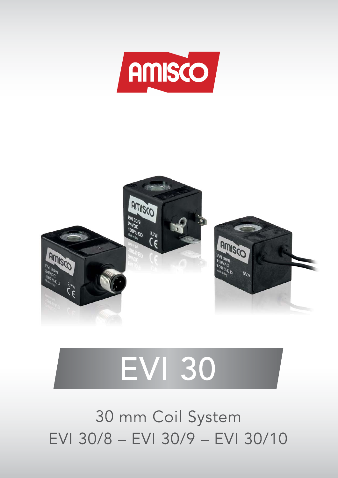



# **EVI 30**

30 mm Coil System EVI 30/8 - EVI 30/9 - EVI 30/10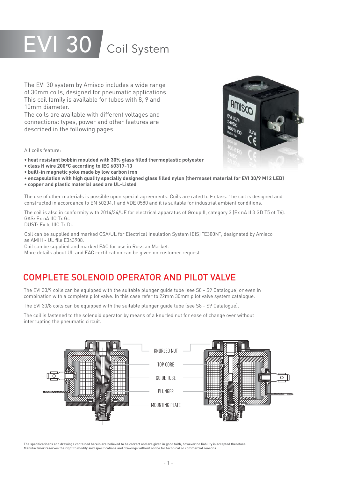## EVI 30 Coil System

The EVI 30 system by Amisco includes a wide range of 30mm coils, designed for pneumatic applications. This coil family is available for tubes with 8, 9 and 10mm diameter.

The coils are available with different voltages and connections: types, power and other features are described in the following pages.

All coils feature:

- **heat resistant bobbin moulded with 30% glass filled thermoplastic polyester**
- **class H wire 200°C according to IEC 60317-13**
- **built-in magnetic yoke made by low carbon iron**
- heat resistant bobbin moulded with 30% glass filled thermoplastic polyester<br>• class H wire 200°C according to IEC 60317-13<br>• built-in magnetic yoke made by low carbon iron<br>• encapsulation with high quality specially desi
- **copper and plastic material used are UL-Listed**

The use of other materials is possible upon special agreements. Coils are rated to F class. The coil is designed and constructed in accordance to EN 60204.1 and VDE 0580 and it is suitable for industrial ambient conditions.

The coil is also in conformity with 2014/34/UE for electrical apparatus of Group II, category 3 (Ex nA II 3 GD T5 ot T6). GAS: Ex nA IIC Tx Gc

DUST: Ex tc IIIC Tx Dc

Coil can be supplied and marked CSA/UL for Electrical Insulation System (EIS) "E300N", designated by Amisco as AMIH - UL file E343908.

Coil can be supplied and marked EAC for use in Russian Market.

More details about UL and EAC certification can be given on customer request.

## COMPLETE SOLENOID OPERATOR AND PILOT VALVE

The EVI 30/9 coils can be equipped with the suitable plunger guide tube (see S8 - S9 Catalogue) or even in combination with a complete pilot valve. In this case refer to 22mm 30mm pilot valve system catalogue.

The EVI 30/8 coils can be equipped with the suitable plunger guide tube (see S8 - S9 Catalogue).

The coil is fastened to the solenoid operator by means of a knurled nut for ease of change over without interrupting the pneumatic circuit.



The specificatioans and drawings contained herein are believed to be correct and are given in good faith, however no liability is accepted therefore. Manufacturer reserves the right to modify said specifications and drawings without notice for technical or commercial reasons.

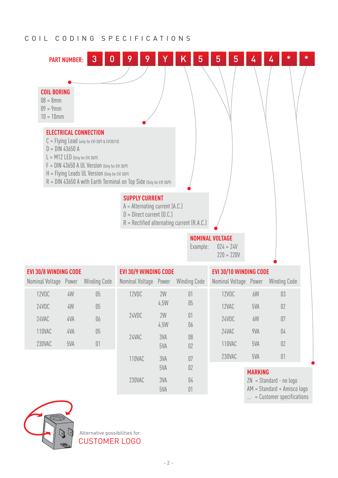#### COIL CODING SPECIFICATIONS



| <b>EVI 30/8 WINDING CODE</b> |     |                     | <b>EVI 30/9 WINDING CODE</b> |            |                     | <b>EVI 30/10 WINDING CODE</b> |                |                           |  |
|------------------------------|-----|---------------------|------------------------------|------------|---------------------|-------------------------------|----------------|---------------------------|--|
| Nominal Voltage Power        |     | <b>Winding Code</b> | Nominal Voltage Power        |            | <b>Winding Code</b> | Nominal Voltage Power         |                | <b>Winding Code</b>       |  |
| 12VDC                        | 4W  | 05                  | 12VDC                        | 2W         | 01                  | 12VDC                         | 6W             | 03                        |  |
| 24VDC                        | 4W  | 05                  |                              | 4,5W       | 05                  | 12VAC                         | 5VA            | 02                        |  |
| 24VAC                        | 4VA | 06                  | 24VDC                        | 2W         | 01                  | 24VDC                         | 6W             | 07                        |  |
| 110VAC                       | 4VA | 05                  |                              | 4,5W       | 06                  | 24VAC                         | 9VA            | 04                        |  |
| 230VAC                       | 5VA | 01                  | 24VAC                        | 3VA<br>5VA | 08<br>02            | 110VAC                        | 5VA            | 02                        |  |
|                              |     |                     | 110VAC                       | 3VA        | 07                  | 230VAC                        | 5VA            | 01                        |  |
|                              |     |                     |                              | 5VA        | 02                  |                               | <b>MARKING</b> |                           |  |
|                              |     |                     | 230VAC                       | 3VA        | 04                  |                               |                | $ZN = Standard - no logo$ |  |

Alternative possibilities for CUSTOMER LOGO 5VA 01

AM = Standard + Amisco logo ... = Customer specifications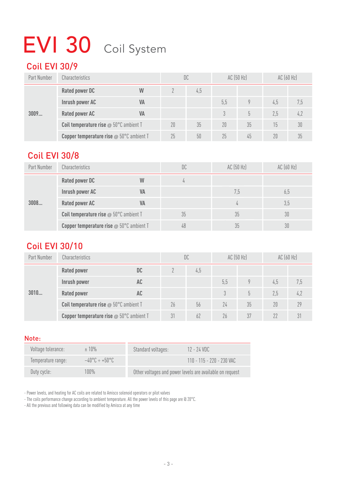## EVI 30 Coil System

## Coil EVI 30/9

| Part Number | <b>Characteristics</b>                               |           |    | DC  |     | AC (50 Hz) | AC (60 Hz) |     |
|-------------|------------------------------------------------------|-----------|----|-----|-----|------------|------------|-----|
|             | <b>Rated power DC</b>                                | W         |    | 4,5 |     |            |            |     |
|             | Inrush power AC                                      | <b>VA</b> |    |     | 5,5 |            | 4,5        | 7,5 |
| 3009        | <b>Rated power AC</b>                                | VA        |    |     |     | 5          | 2.5        | 4,2 |
|             | <b>Coil temperature rise</b> $\omega$ 50°C ambient T |           | 20 | 35  | 20  | 35         | 15         | 30  |
|             | <b>Copper temperature rise @ 50°C ambient T</b>      |           | 25 | 50  | 25  | 45         | 20         | 35  |

## Coil EVI 30/8

| Part Number | Characteristics                                                  |           | DC  | AC (50 Hz) | AC (60 Hz) |
|-------------|------------------------------------------------------------------|-----------|-----|------------|------------|
|             | <b>Rated power DC</b>                                            | W         |     |            |            |
|             | Inrush power AC                                                  | VA<br>7,5 | 6,5 |            |            |
| 3008        | <b>Rated power AC</b>                                            | <b>VA</b> |     |            | 3,5        |
|             | <b>Coil temperature rise</b> $\otimes$ 50 $^{\circ}$ C ambient T |           | 35  | 35<br>30   |            |
|             | <b>Copper temperature rise @ 50°C ambient T</b>                  |           | 48  |            | 30         |

## Coil EVI 30/10

| Part Number | <b>Characteristics</b>                          |    |    | DC  |     | AC (50 Hz)    | AC(60 Hz) |     |
|-------------|-------------------------------------------------|----|----|-----|-----|---------------|-----------|-----|
|             | <b>Rated power</b>                              | DC |    | 4,5 |     |               |           |     |
|             | Inrush power                                    | AC |    |     | 5,5 | Q             | 4,5       | 7,5 |
| 3010        | <b>Rated power</b>                              | AC |    |     |     | $\mathfrak h$ | 2,5       | 4,2 |
|             | Coil temperature rise @ 50°C ambient T          |    | 26 | 56  | 24  | 35            | 20        | 79  |
|             | <b>Copper temperature rise @ 50°C ambient T</b> |    | 31 | 62  | 26  | 37            |           |     |

#### Note:

| Voltage tolerance: | ±10%                               | 12 - 24 VDC<br>Standard voltages:                        |
|--------------------|------------------------------------|----------------------------------------------------------|
| Temperature range: | $-40^{\circ}$ C ÷ +50°C $^{\circ}$ | $110 - 115 - 220 - 230$ VAC                              |
| Duty cycle:        | 100%                               | Other voltages and power levels are available on request |

- Power levels, and heating for AC coils are related to Amisco solenoid operators or pilot valves

- The coils performance change according to ambient temperature. All the power levels of this page are @ 20°C.

- All the previous and following data can be modified by Amisco at any time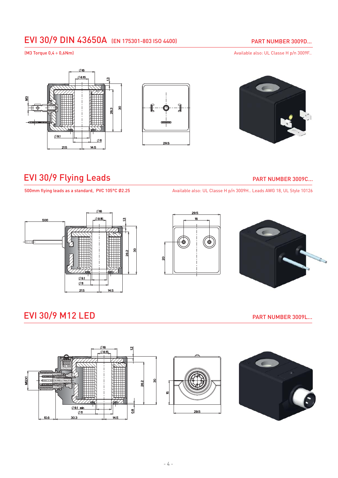## EVI 30/9 DIN 43650A (EN 175301-803 ISO 4400)

#### PART NUMBER 3009D...

(M3 Torque 0,4 ÷ 0,6Nm) **Available also: UL Classe H p/n 3009F.**.







## EVI 30/9 Flying Leads **PART NUMBER 3009C...**

500mm flying leads as a standard, PVC 105°C Ø2.25 Available also: UL Classe H p/n 3009H.. Leads AWG 18, UL Style 10126







## EVI 30/9 M12 LED PART NUMBER 3009L...

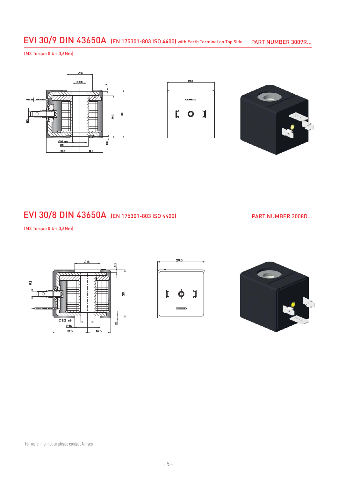#### EVI 30/9 DIN 43650A (EN 175301-803 ISO 4400) with Earth Terminal on Top Side PART NUMBER 3009R...

(M3 Torque 0,4 ÷ 0,6Nm)







### EVI 30/8 DIN 43650A (EN 175301-803 ISO 4400)

PART NUMBER 3008D...

(M3 Torque 0,4 ÷ 0,6Nm)





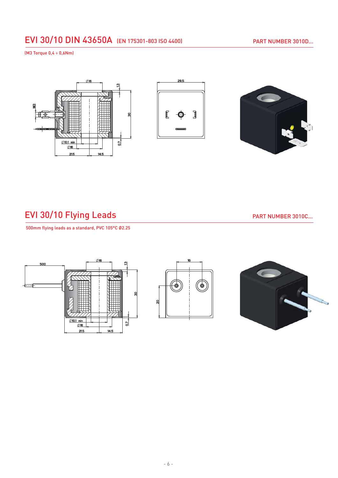## EVI 30/10 DIN 43650A (EN 175301-803 ISO 4400)

(M3 Torque 0,4 ÷ 0,6Nm)







## EVI 30/10 Flying Leads **PART NUMBER 3010C...**

500mm flying leads as a standard, PVC 105°C Ø2.25

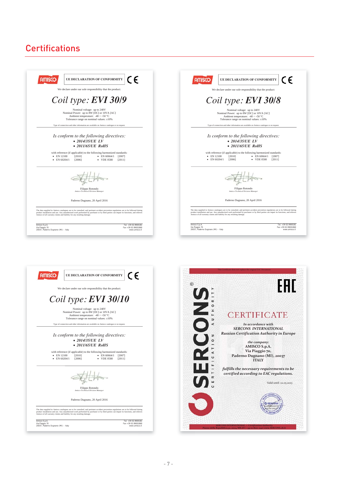## **Certifications**

| CΕ                                                                                                                                    | C E                                                                                                                                   |  |  |  |  |
|---------------------------------------------------------------------------------------------------------------------------------------|---------------------------------------------------------------------------------------------------------------------------------------|--|--|--|--|
| UE DECLARATION OF CONFORMITY                                                                                                          | UE DECLARATION OF CONFORMITY                                                                                                          |  |  |  |  |
| We declare under our sole responsibility that the product:                                                                            | We declare under our sole responsibility that the product:                                                                            |  |  |  |  |
| Coil type: $EVI$ 30/9                                                                                                                 | Coil type: <b>EVI 30/8</b>                                                                                                            |  |  |  |  |
| Nominal voltage: up to 240V                                                                                                           | Nominal voltage: up to 240V                                                                                                           |  |  |  |  |
| Nominal Power: up to 8W [DC] or 10VA [AC]                                                                                             | Nominal Power: up to 8W [DC] or 10VA [AC]                                                                                             |  |  |  |  |
| Ambient temperature: $-40 \div +50$ °C                                                                                                | Ambient temperature: $-40 \div +50$ °C                                                                                                |  |  |  |  |
| Tolerance range on nominal values: ±10%                                                                                               | Tolerance range on nominal values: $\pm 10\%$                                                                                         |  |  |  |  |
| Type of connection and other information are available on Amisco catalogue or on request.                                             | Type of connection and other information are available on Amisco catalogue or on request.                                             |  |  |  |  |
| Is conform to the following directives:                                                                                               | Is conform to the following directives:                                                                                               |  |  |  |  |
| $\bullet$ 2014/35/UE LV                                                                                                               | $\bullet$ 2014/35/UE LV                                                                                                               |  |  |  |  |
| $\bullet$ 2011/65/UE RoHS                                                                                                             | $\bullet$ 2011/65/UE RoHS                                                                                                             |  |  |  |  |
| with reference (if applicable) to the following harmonized standards:                                                                 | with reference (if applicable) to the following harmonized standards:                                                                 |  |  |  |  |
| • EN 12100                                                                                                                            | • EN 12100                                                                                                                            |  |  |  |  |
| [2010]                                                                                                                                | [2010]                                                                                                                                |  |  |  |  |
| $\bullet$ EN 60664/1                                                                                                                  | [2007]                                                                                                                                |  |  |  |  |
| [2007]                                                                                                                                | $\bullet$ EN 60664/1                                                                                                                  |  |  |  |  |
| $\bullet$ EN 60204/1                                                                                                                  | $\bullet$ EN 60204/1                                                                                                                  |  |  |  |  |
| [2006]                                                                                                                                | [2006]                                                                                                                                |  |  |  |  |
| • VDE 0580                                                                                                                            | • VDE 0580                                                                                                                            |  |  |  |  |
| [2011]                                                                                                                                | [2011]                                                                                                                                |  |  |  |  |
|                                                                                                                                       |                                                                                                                                       |  |  |  |  |
| Filippo Rotondo                                                                                                                       | Filippo Rotondo                                                                                                                       |  |  |  |  |
| Amisco Technical Division Manager                                                                                                     | Amisco Technical Division Manager                                                                                                     |  |  |  |  |
| Paderno Dugnano, 20 April 2016                                                                                                        | Paderno Dugnano, 20 April 2016                                                                                                        |  |  |  |  |
| The data supplied in Amisco catalogues are to be consulted, and pertinent accident prevention regulations are to be followed during   | The data supplied in Amisco catalogues are to be consulted, and pertinent accident prevention regulations are to be followed during   |  |  |  |  |
| product installation and use. Any unauthorized work performed by purchaser or by third parties can impair its functions, and relieves | product installation and use. Any unauthorized work performed by purchaser or by third parties can impair its functions, and relieves |  |  |  |  |
| Amisco of all warranty claims and liability for any resulting damage.                                                                 | Amisco of all warranty claims and liability for any resulting damage.                                                                 |  |  |  |  |
| Amisco S.p.A.                                                                                                                         | Amisco S.p.A.                                                                                                                         |  |  |  |  |
| Tel. +39 02.9900181                                                                                                                   | Tel. +39 02.9900181                                                                                                                   |  |  |  |  |
| Fax +39 02.99001860                                                                                                                   | Via Piaggio 70                                                                                                                        |  |  |  |  |
| Via Piaggio 70                                                                                                                        | Fax +39 02.99001860                                                                                                                   |  |  |  |  |
| 20037, Paderno Dugnano (MI) - Italy                                                                                                   | 20037, Paderno Dugnano (MI) - Italy                                                                                                   |  |  |  |  |
| www.amisco.it                                                                                                                         | www.amisco.it                                                                                                                         |  |  |  |  |